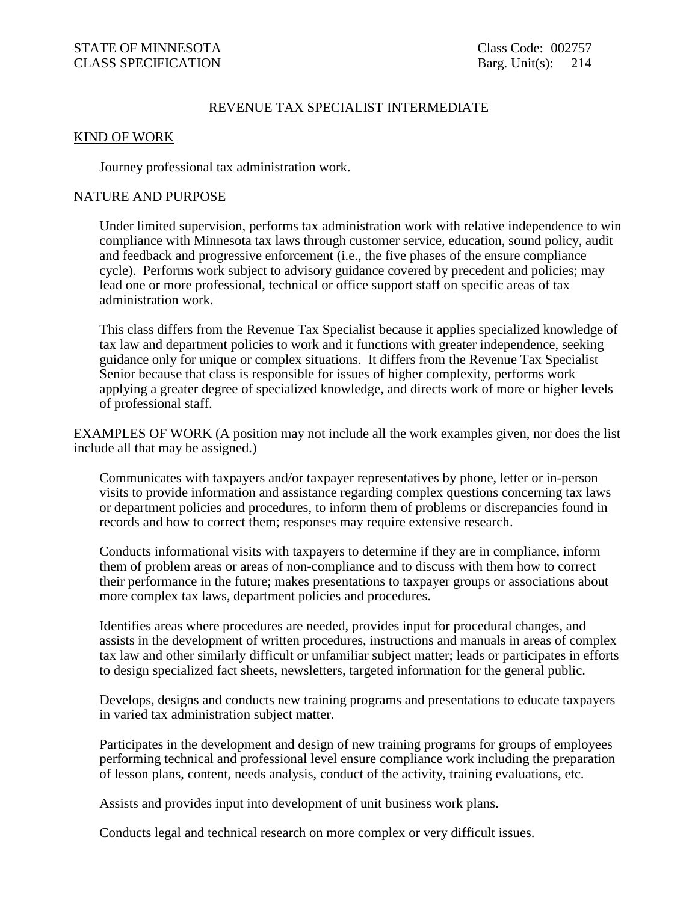# REVENUE TAX SPECIALIST INTERMEDIATE

### KIND OF WORK

Journey professional tax administration work.

#### NATURE AND PURPOSE

 Under limited supervision, performs tax administration work with relative independence to win compliance with Minnesota tax laws through customer service, education, sound policy, audit and feedback and progressive enforcement (i.e., the five phases of the ensure compliance cycle). Performs work subject to advisory guidance covered by precedent and policies; may lead one or more professional, technical or office support staff on specific areas of tax administration work.

This class differs from the Revenue Tax Specialist because it applies specialized knowledge of tax law and department policies to work and it functions with greater independence, seeking guidance only for unique or complex situations. It differs from the Revenue Tax Specialist Senior because that class is responsible for issues of higher complexity, performs work applying a greater degree of specialized knowledge, and directs work of more or higher levels of professional staff.

EXAMPLES OF WORK (A position may not include all the work examples given, nor does the list include all that may be assigned.)

 Communicates with taxpayers and/or taxpayer representatives by phone, letter or in-person visits to provide information and assistance regarding complex questions concerning tax laws or department policies and procedures, to inform them of problems or discrepancies found in records and how to correct them; responses may require extensive research.

 Conducts informational visits with taxpayers to determine if they are in compliance, inform them of problem areas or areas of non-compliance and to discuss with them how to correct their performance in the future; makes presentations to taxpayer groups or associations about more complex tax laws, department policies and procedures.

Identifies areas where procedures are needed, provides input for procedural changes, and assists in the development of written procedures, instructions and manuals in areas of complex tax law and other similarly difficult or unfamiliar subject matter; leads or participates in efforts to design specialized fact sheets, newsletters, targeted information for the general public.

 Develops, designs and conducts new training programs and presentations to educate taxpayers in varied tax administration subject matter.

 Participates in the development and design of new training programs for groups of employees performing technical and professional level ensure compliance work including the preparation of lesson plans, content, needs analysis, conduct of the activity, training evaluations, etc.

Assists and provides input into development of unit business work plans.

Conducts legal and technical research on more complex or very difficult issues.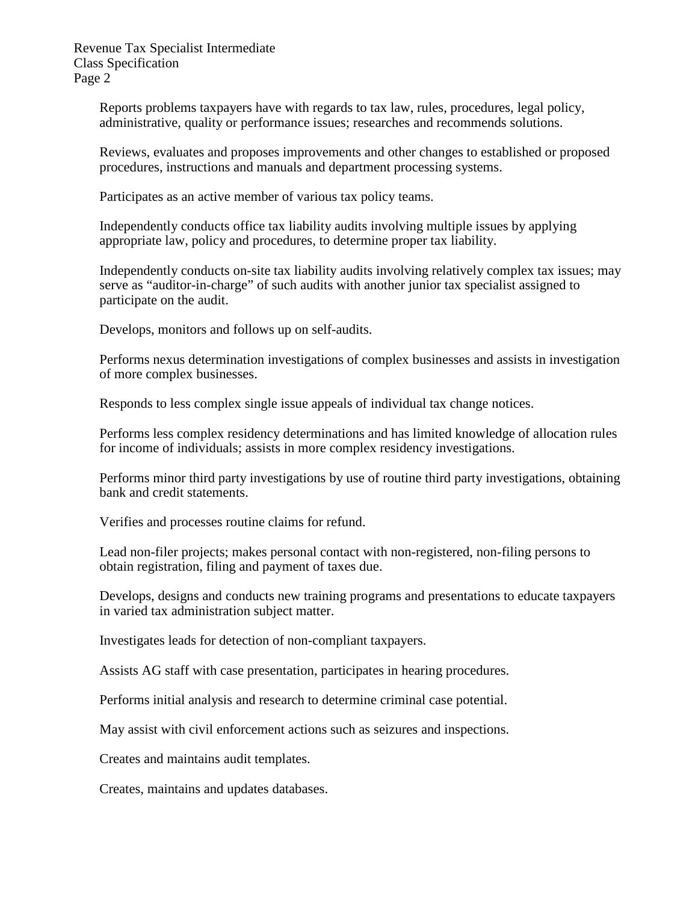Revenue Tax Specialist Intermediate Class Specification Page 2

> Reports problems taxpayers have with regards to tax law, rules, procedures, legal policy, administrative, quality or performance issues; researches and recommends solutions.

 Reviews, evaluates and proposes improvements and other changes to established or proposed procedures, instructions and manuals and department processing systems.

Participates as an active member of various tax policy teams.

 Independently conducts office tax liability audits involving multiple issues by applying appropriate law, policy and procedures, to determine proper tax liability.

 Independently conducts on-site tax liability audits involving relatively complex tax issues; may serve as "auditor-in-charge" of such audits with another junior tax specialist assigned to participate on the audit.

Develops, monitors and follows up on self-audits.

 Performs nexus determination investigations of complex businesses and assists in investigation of more complex businesses.

Responds to less complex single issue appeals of individual tax change notices.

Performs less complex residency determinations and has limited knowledge of allocation rules for income of individuals; assists in more complex residency investigations.

 Performs minor third party investigations by use of routine third party investigations, obtaining bank and credit statements.

Verifies and processes routine claims for refund.

 Lead non-filer projects; makes personal contact with non-registered, non-filing persons to obtain registration, filing and payment of taxes due.

 Develops, designs and conducts new training programs and presentations to educate taxpayers in varied tax administration subject matter.

Investigates leads for detection of non-compliant taxpayers.

Assists AG staff with case presentation, participates in hearing procedures.

Performs initial analysis and research to determine criminal case potential.

May assist with civil enforcement actions such as seizures and inspections.

Creates and maintains audit templates.

Creates, maintains and updates databases.